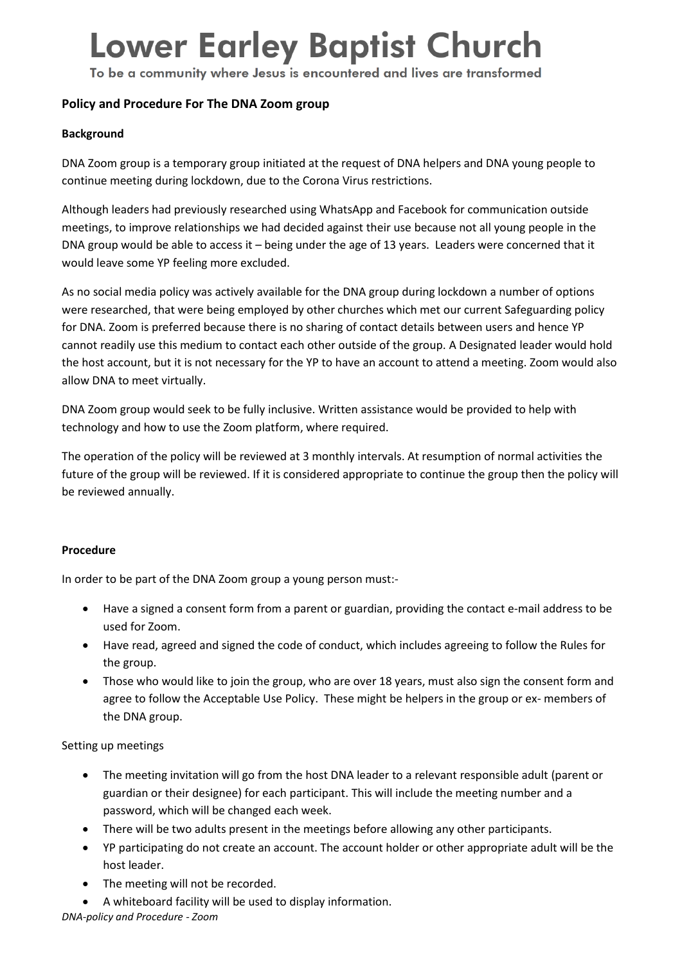# **Lower Earley Baptist Church**

To be a community where Jesus is encountered and lives are transformed

### **Policy and Procedure For The DNA Zoom group**

#### **Background**

DNA Zoom group is a temporary group initiated at the request of DNA helpers and DNA young people to continue meeting during lockdown, due to the Corona Virus restrictions.

Although leaders had previously researched using WhatsApp and Facebook for communication outside meetings, to improve relationships we had decided against their use because not all young people in the DNA group would be able to access it – being under the age of 13 years. Leaders were concerned that it would leave some YP feeling more excluded.

As no social media policy was actively available for the DNA group during lockdown a number of options were researched, that were being employed by other churches which met our current Safeguarding policy for DNA. Zoom is preferred because there is no sharing of contact details between users and hence YP cannot readily use this medium to contact each other outside of the group. A Designated leader would hold the host account, but it is not necessary for the YP to have an account to attend a meeting. Zoom would also allow DNA to meet virtually.

DNA Zoom group would seek to be fully inclusive. Written assistance would be provided to help with technology and how to use the Zoom platform, where required.

The operation of the policy will be reviewed at 3 monthly intervals. At resumption of normal activities the future of the group will be reviewed. If it is considered appropriate to continue the group then the policy will be reviewed annually.

#### **Procedure**

In order to be part of the DNA Zoom group a young person must:-

- Have a signed a consent form from a parent or guardian, providing the contact e-mail address to be used for Zoom.
- Have read, agreed and signed the code of conduct, which includes agreeing to follow the Rules for the group.
- Those who would like to join the group, who are over 18 years, must also sign the consent form and agree to follow the Acceptable Use Policy. These might be helpers in the group or ex- members of the DNA group.

#### Setting up meetings

- The meeting invitation will go from the host DNA leader to a relevant responsible adult (parent or guardian or their designee) for each participant. This will include the meeting number and a password, which will be changed each week.
- There will be two adults present in the meetings before allowing any other participants.
- YP participating do not create an account. The account holder or other appropriate adult will be the host leader.
- The meeting will not be recorded.
- A whiteboard facility will be used to display information.

*DNA-policy and Procedure - Zoom*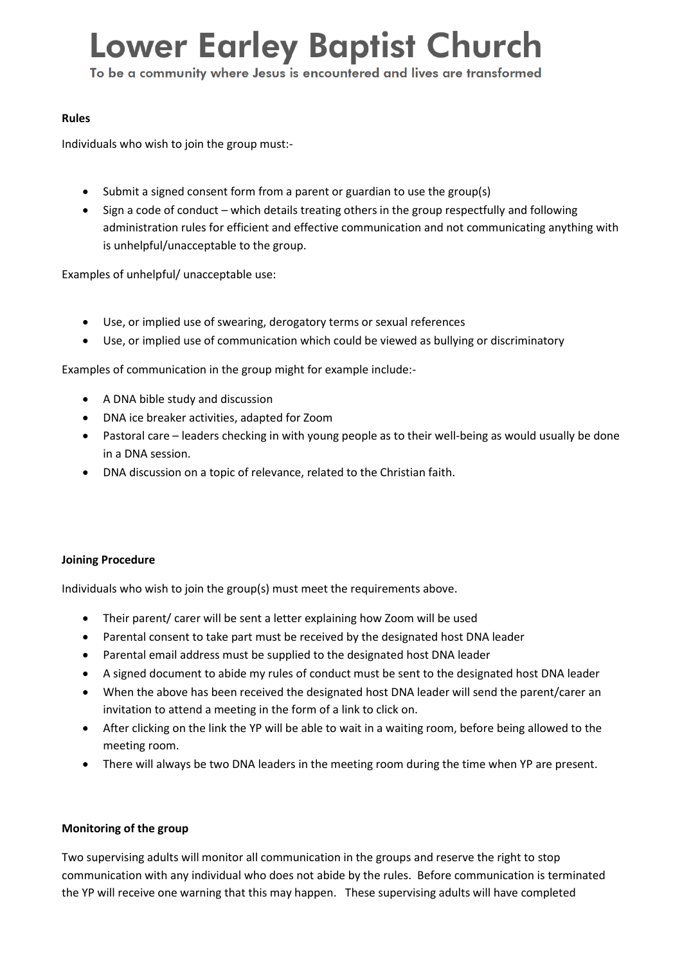# **Lower Earley Baptist Church**

To be a community where Jesus is encountered and lives are transformed

#### **Rules**

Individuals who wish to join the group must:-

- Submit a signed consent form from a parent or guardian to use the group(s)
- Sign a code of conduct which details treating others in the group respectfully and following administration rules for efficient and effective communication and not communicating anything with is unhelpful/unacceptable to the group.

Examples of unhelpful/ unacceptable use:

- Use, or implied use of swearing, derogatory terms or sexual references
- Use, or implied use of communication which could be viewed as bullying or discriminatory

Examples of communication in the group might for example include:-

- A DNA bible study and discussion
- DNA ice breaker activities, adapted for Zoom
- Pastoral care leaders checking in with young people as to their well-being as would usually be done in a DNA session.
- DNA discussion on a topic of relevance, related to the Christian faith.

### **Joining Procedure**

Individuals who wish to join the group(s) must meet the requirements above.

- Their parent/ carer will be sent a letter explaining how Zoom will be used
- Parental consent to take part must be received by the designated host DNA leader
- Parental email address must be supplied to the designated host DNA leader
- A signed document to abide my rules of conduct must be sent to the designated host DNA leader
- When the above has been received the designated host DNA leader will send the parent/carer an invitation to attend a meeting in the form of a link to click on.
- After clicking on the link the YP will be able to wait in a waiting room, before being allowed to the meeting room.
- There will always be two DNA leaders in the meeting room during the time when YP are present.

### **Monitoring of the group**

Two supervising adults will monitor all communication in the groups and reserve the right to stop communication with any individual who does not abide by the rules. Before communication is terminated the YP will receive one warning that this may happen. These supervising adults will have completed